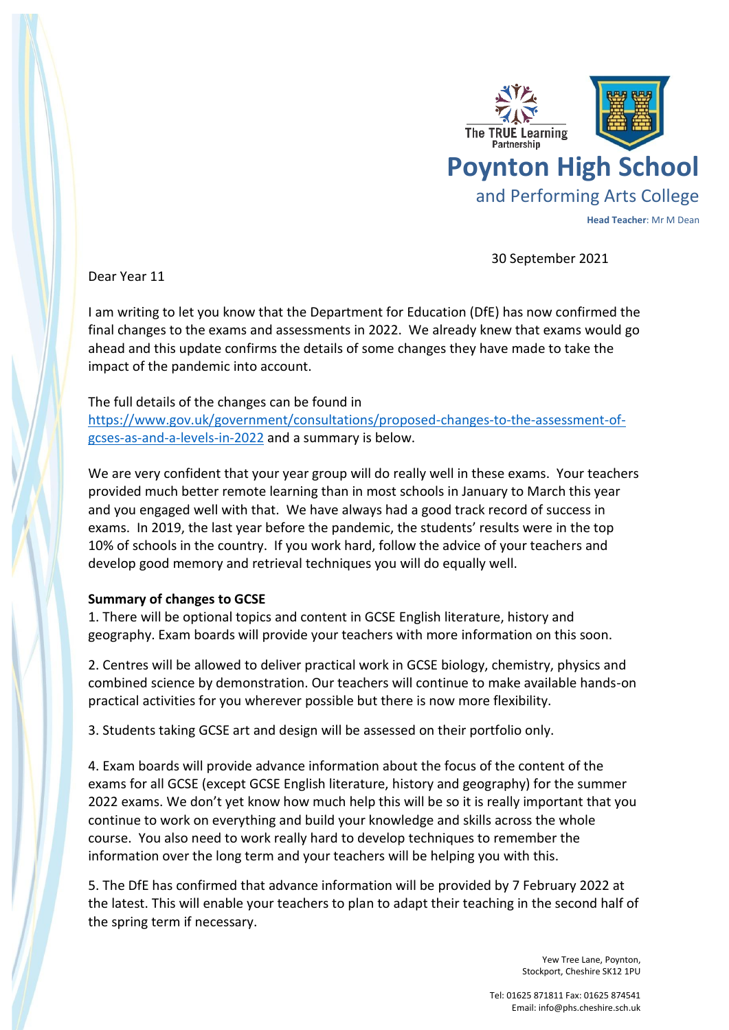

30 September 2021

Dear Year 11

I am writing to let you know that the Department for Education (DfE) has now confirmed the final changes to the exams and assessments in 2022. We already knew that exams would go ahead and this update confirms the details of some changes they have made to take the impact of the pandemic into account.

## The full details of the changes can be found in

[https://www.gov.uk/government/consultations/proposed-changes-to-the-assessment-of](https://www.gov.uk/government/consultations/proposed-changes-to-the-assessment-of-gcses-as-and-a-levels-in-2022)[gcses-as-and-a-levels-in-2022](https://www.gov.uk/government/consultations/proposed-changes-to-the-assessment-of-gcses-as-and-a-levels-in-2022) and a summary is below.

We are very confident that your year group will do really well in these exams. Your teachers provided much better remote learning than in most schools in January to March this year and you engaged well with that. We have always had a good track record of success in exams. In 2019, the last year before the pandemic, the students' results were in the top 10% of schools in the country. If you work hard, follow the advice of your teachers and develop good memory and retrieval techniques you will do equally well.

## **Summary of changes to GCSE**

1. There will be optional topics and content in GCSE English literature, history and geography. Exam boards will provide your teachers with more information on this soon.

2. Centres will be allowed to deliver practical work in GCSE biology, chemistry, physics and combined science by demonstration. Our teachers will continue to make available hands-on practical activities for you wherever possible but there is now more flexibility.

3. Students taking GCSE art and design will be assessed on their portfolio only.

4. Exam boards will provide advance information about the focus of the content of the exams for all GCSE (except GCSE English literature, history and geography) for the summer 2022 exams. We don't yet know how much help this will be so it is really important that you continue to work on everything and build your knowledge and skills across the whole course. You also need to work really hard to develop techniques to remember the information over the long term and your teachers will be helping you with this.

5. The DfE has confirmed that advance information will be provided by 7 February 2022 at the latest. This will enable your teachers to plan to adapt their teaching in the second half of the spring term if necessary.

> Yew Tree Lane, Poynton, Stockport, Cheshire SK12 1PU